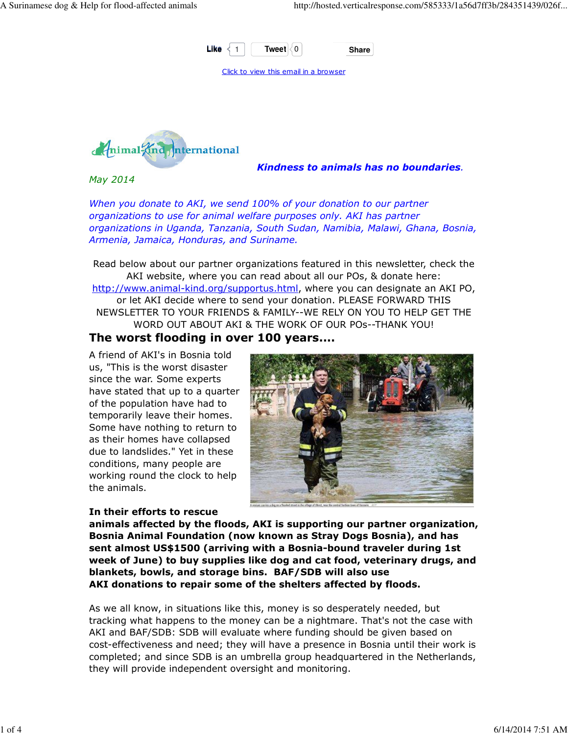



Kindness to animals has no boundaries.

May 2014

When you donate to AKI, we send 100% of your donation to our partner organizations to use for animal welfare purposes only. AKI has partner organizations in Uganda, Tanzania, South Sudan, Namibia, Malawi, Ghana, Bosnia, Armenia, Jamaica, Honduras, and Suriname.

Read below about our partner organizations featured in this newsletter, check the AKI website, where you can read about all our POs, & donate here: http://www.animal-kind.org/supportus.html, where you can designate an AKI PO, or let AKI decide where to send your donation. PLEASE FORWARD THIS NEWSLETTER TO YOUR FRIENDS & FAMILY--WE RELY ON YOU TO HELP GET THE WORD OUT ABOUT AKI & THE WORK OF OUR POs--THANK YOU!

### The worst flooding in over 100 years....

A friend of AKI's in Bosnia told us, "This is the worst disaster since the war. Some experts have stated that up to a quarter of the population have had to temporarily leave their homes. Some have nothing to return to as their homes have collapsed due to landslides." Yet in these conditions, many people are working round the clock to help the animals.



#### In their efforts to rescue

animals affected by the floods, AKI is supporting our partner organization, Bosnia Animal Foundation (now known as Stray Dogs Bosnia), and has sent almost US\$1500 (arriving with a Bosnia-bound traveler during 1st week of June) to buy supplies like dog and cat food, veterinary drugs, and blankets, bowls, and storage bins. BAF/SDB will also use AKI donations to repair some of the shelters affected by floods.

As we all know, in situations like this, money is so desperately needed, but tracking what happens to the money can be a nightmare. That's not the case with AKI and BAF/SDB: SDB will evaluate where funding should be given based on cost-effectiveness and need; they will have a presence in Bosnia until their work is completed; and since SDB is an umbrella group headquartered in the Netherlands, they will provide independent oversight and monitoring.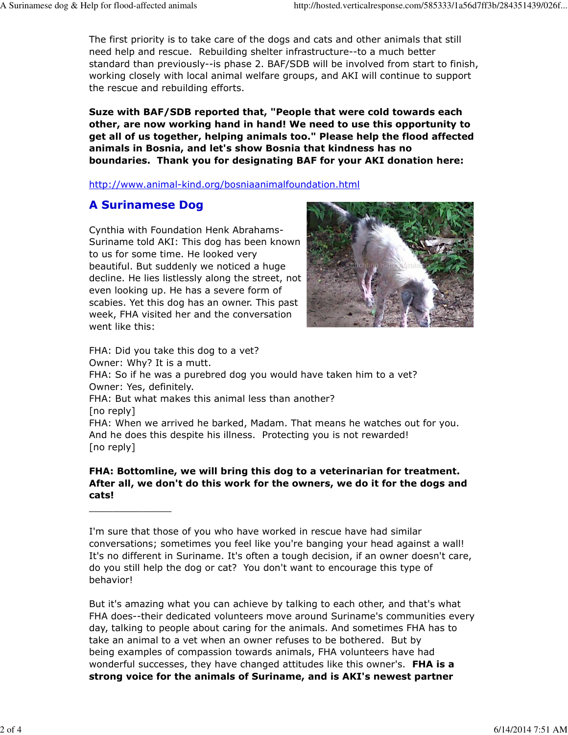The first priority is to take care of the dogs and cats and other animals that still need help and rescue. Rebuilding shelter infrastructure--to a much better standard than previously--is phase 2. BAF/SDB will be involved from start to finish, working closely with local animal welfare groups, and AKI will continue to support the rescue and rebuilding efforts.

Suze with BAF/SDB reported that, "People that were cold towards each other, are now working hand in hand! We need to use this opportunity to get all of us together, helping animals too." Please help the flood affected animals in Bosnia, and let's show Bosnia that kindness has no boundaries. Thank you for designating BAF for your AKI donation here:

http://www.animal-kind.org/bosniaanimalfoundation.html

### A Surinamese Dog

\_\_\_\_\_\_\_\_\_\_\_\_\_\_

Cynthia with Foundation Henk Abrahams-Suriname told AKI: This dog has been known to us for some time. He looked very beautiful. But suddenly we noticed a huge decline. He lies listlessly along the street, not even looking up. He has a severe form of scabies. Yet this dog has an owner. This past week, FHA visited her and the conversation went like this:



FHA: Did you take this dog to a vet? Owner: Why? It is a mutt. FHA: So if he was a purebred dog you would have taken him to a vet? Owner: Yes, definitely. FHA: But what makes this animal less than another? [no reply] FHA: When we arrived he barked, Madam. That means he watches out for you. And he does this despite his illness. Protecting you is not rewarded! [no reply]

### FHA: Bottomline, we will bring this dog to a veterinarian for treatment. After all, we don't do this work for the owners, we do it for the dogs and cats!

I'm sure that those of you who have worked in rescue have had similar conversations; sometimes you feel like you're banging your head against a wall! It's no different in Suriname. It's often a tough decision, if an owner doesn't care, do you still help the dog or cat? You don't want to encourage this type of behavior!

But it's amazing what you can achieve by talking to each other, and that's what FHA does--their dedicated volunteers move around Suriname's communities every day, talking to people about caring for the animals. And sometimes FHA has to take an animal to a vet when an owner refuses to be bothered. But by being examples of compassion towards animals, FHA volunteers have had wonderful successes, they have changed attitudes like this owner's. FHA is a strong voice for the animals of Suriname, and is AKI's newest partner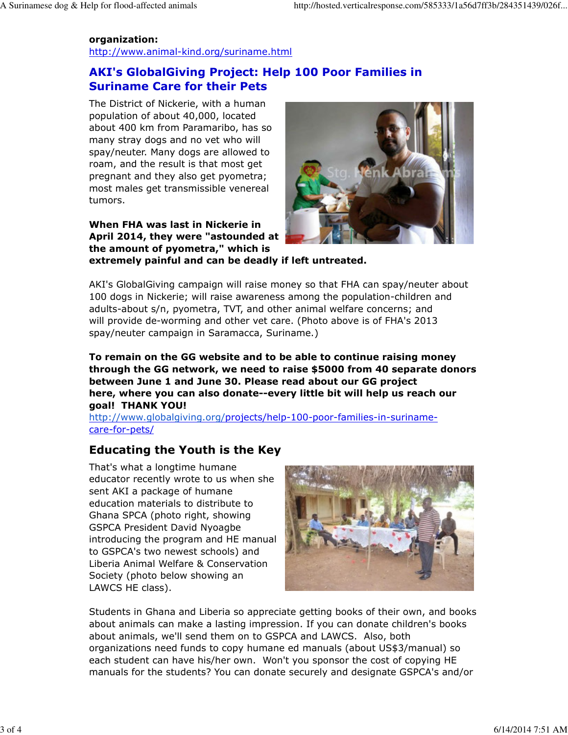### organization:

http://www.animal-kind.org/suriname.html

## AKI's GlobalGiving Project: Help 100 Poor Families in Suriname Care for their Pets

The District of Nickerie, with a human population of about 40,000, located about 400 km from Paramaribo, has so many stray dogs and no vet who will spay/neuter. Many dogs are allowed to roam, and the result is that most get pregnant and they also get pyometra; most males get transmissible venereal tumors.

When FHA was last in Nickerie in April 2014, they were "astounded at the amount of pyometra," which is



extremely painful and can be deadly if left untreated.

AKI's GlobalGiving campaign will raise money so that FHA can spay/neuter about 100 dogs in Nickerie; will raise awareness among the population-children and adults-about s/n, pyometra, TVT, and other animal welfare concerns; and will provide de-worming and other vet care. (Photo above is of FHA's 2013 spay/neuter campaign in Saramacca, Suriname.)

To remain on the GG website and to be able to continue raising money through the GG network, we need to raise \$5000 from 40 separate donors between June 1 and June 30. Please read about our GG project here, where you can also donate--every little bit will help us reach our goal! THANK YOU!

http://www.globalgiving.org/projects/help-100-poor-families-in-surinamecare-for-pets/

# Educating the Youth is the Key

That's what a longtime humane educator recently wrote to us when she sent AKI a package of humane education materials to distribute to Ghana SPCA (photo right, showing GSPCA President David Nyoagbe introducing the program and HE manual to GSPCA's two newest schools) and Liberia Animal Welfare & Conservation Society (photo below showing an LAWCS HE class).



Students in Ghana and Liberia so appreciate getting books of their own, and books about animals can make a lasting impression. If you can donate children's books about animals, we'll send them on to GSPCA and LAWCS. Also, both organizations need funds to copy humane ed manuals (about US\$3/manual) so each student can have his/her own. Won't you sponsor the cost of copying HE manuals for the students? You can donate securely and designate GSPCA's and/or